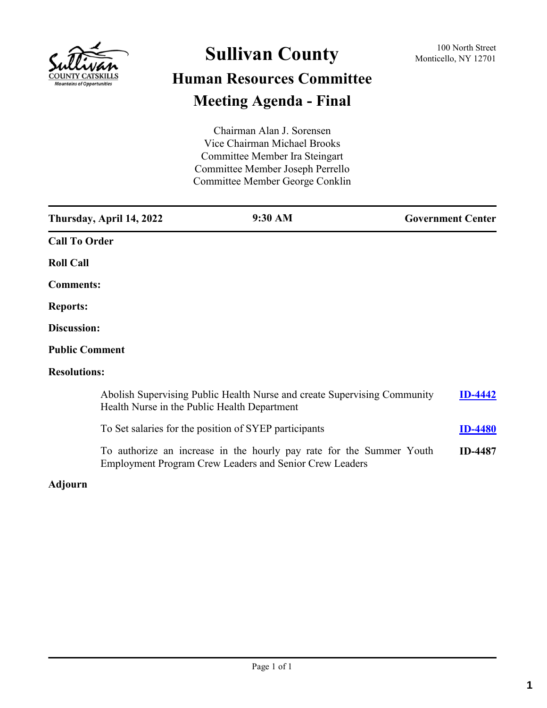

# **Sullivan County** 100 North Street 100 North Street **Human Resources Committee Meeting Agenda - Final**

Chairman Alan J. Sorensen Vice Chairman Michael Brooks Committee Member Ira Steingart Committee Member Joseph Perrello Committee Member George Conklin

|                       | Thursday, April 14, 2022                     | 9:30 AM                                                                                                                                | <b>Government Center</b> |  |
|-----------------------|----------------------------------------------|----------------------------------------------------------------------------------------------------------------------------------------|--------------------------|--|
| <b>Call To Order</b>  |                                              |                                                                                                                                        |                          |  |
| <b>Roll Call</b>      |                                              |                                                                                                                                        |                          |  |
| <b>Comments:</b>      |                                              |                                                                                                                                        |                          |  |
| <b>Reports:</b>       |                                              |                                                                                                                                        |                          |  |
| Discussion:           |                                              |                                                                                                                                        |                          |  |
| <b>Public Comment</b> |                                              |                                                                                                                                        |                          |  |
| <b>Resolutions:</b>   |                                              |                                                                                                                                        |                          |  |
|                       | Health Nurse in the Public Health Department | Abolish Supervising Public Health Nurse and create Supervising Community                                                               | <b>ID-4442</b>           |  |
|                       |                                              | To Set salaries for the position of SYEP participants                                                                                  | <b>ID-4480</b>           |  |
|                       |                                              | To authorize an increase in the hourly pay rate for the Summer Youth<br><b>Employment Program Crew Leaders and Senior Crew Leaders</b> | <b>ID-4487</b>           |  |

### **Adjourn**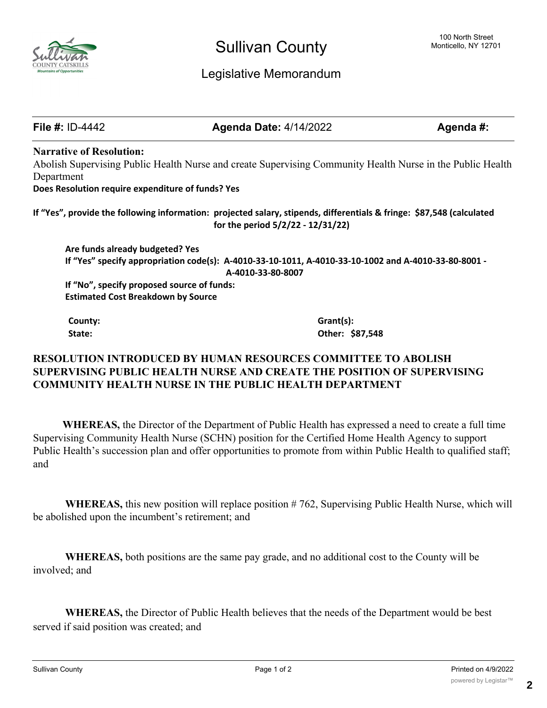

### Legislative Memorandum

**File #:** ID-4442 **Agenda Date:** 4/14/2022 **Agenda #: Narrative of Resolution:** Abolish Supervising Public Health Nurse and create Supervising Community Health Nurse in the Public Health Department **Does Resolution require expenditure of funds? Yes If "Yes", provide the following information: projected salary, stipends, differentials & fringe: \$87,548 (calculated for the period 5/2/22 - 12/31/22) Are funds already budgeted? Yes If "Yes" specify appropriation code(s): A-4010-33-10-1011, A-4010-33-10-1002 and A-4010-33-80-8001 - A-4010-33-80-8007 If "No", specify proposed source of funds: Estimated Cost Breakdown by Source County: Grant(s): State: Other: \$87,548**

### **RESOLUTION INTRODUCED BY HUMAN RESOURCES COMMITTEE TO ABOLISH SUPERVISING PUBLIC HEALTH NURSE AND CREATE THE POSITION OF SUPERVISING COMMUNITY HEALTH NURSE IN THE PUBLIC HEALTH DEPARTMENT**

 **WHEREAS,** the Director of the Department of Public Health has expressed a need to create a full time Supervising Community Health Nurse (SCHN) position for the Certified Home Health Agency to support Public Health's succession plan and offer opportunities to promote from within Public Health to qualified staff; and

**WHEREAS,** this new position will replace position # 762, Supervising Public Health Nurse, which will be abolished upon the incumbent's retirement; and

**WHEREAS,** both positions are the same pay grade, and no additional cost to the County will be involved; and

**WHEREAS,** the Director of Public Health believes that the needs of the Department would be best served if said position was created; and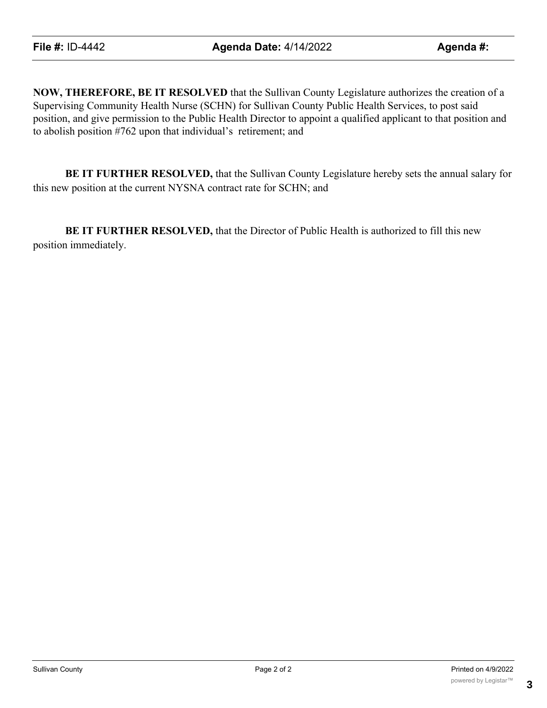**NOW, THEREFORE, BE IT RESOLVED** that the Sullivan County Legislature authorizes the creation of a Supervising Community Health Nurse (SCHN) for Sullivan County Public Health Services, to post said position, and give permission to the Public Health Director to appoint a qualified applicant to that position and to abolish position #762 upon that individual's retirement; and

**BE IT FURTHER RESOLVED,** that the Sullivan County Legislature hereby sets the annual salary for this new position at the current NYSNA contract rate for SCHN; and

**BE IT FURTHER RESOLVED,** that the Director of Public Health is authorized to fill this new position immediately.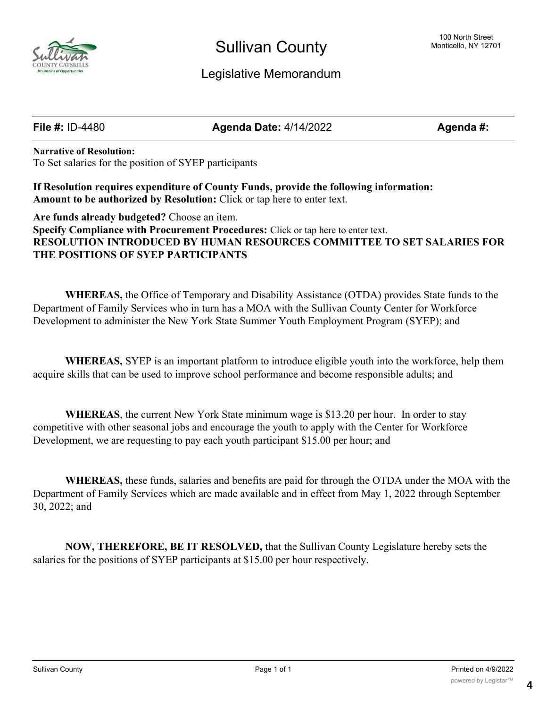

## Sullivan County

### Legislative Memorandum

**File #:** ID-4480 **Agenda Date:** 4/14/2022 **Agenda #:**

**Narrative of Resolution:** To Set salaries for the position of SYEP participants

**If Resolution requires expenditure of County Funds, provide the following information: Amount to be authorized by Resolution:** Click or tap here to enter text.

**Are funds already budgeted?** Choose an item. **Specify Compliance with Procurement Procedures:** Click or tap here to enter text. **RESOLUTION INTRODUCED BY HUMAN RESOURCES COMMITTEE TO SET SALARIES FOR THE POSITIONS OF SYEP PARTICIPANTS**

**WHEREAS,** the Office of Temporary and Disability Assistance (OTDA) provides State funds to the Department of Family Services who in turn has a MOA with the Sullivan County Center for Workforce Development to administer the New York State Summer Youth Employment Program (SYEP); and

**WHEREAS,** SYEP is an important platform to introduce eligible youth into the workforce, help them acquire skills that can be used to improve school performance and become responsible adults; and

**WHEREAS**, the current New York State minimum wage is \$13.20 per hour. In order to stay competitive with other seasonal jobs and encourage the youth to apply with the Center for Workforce Development, we are requesting to pay each youth participant \$15.00 per hour; and

**WHEREAS,** these funds, salaries and benefits are paid for through the OTDA under the MOA with the Department of Family Services which are made available and in effect from May 1, 2022 through September 30, 2022; and

**NOW, THEREFORE, BE IT RESOLVED,** that the Sullivan County Legislature hereby sets the salaries for the positions of SYEP participants at \$15.00 per hour respectively.